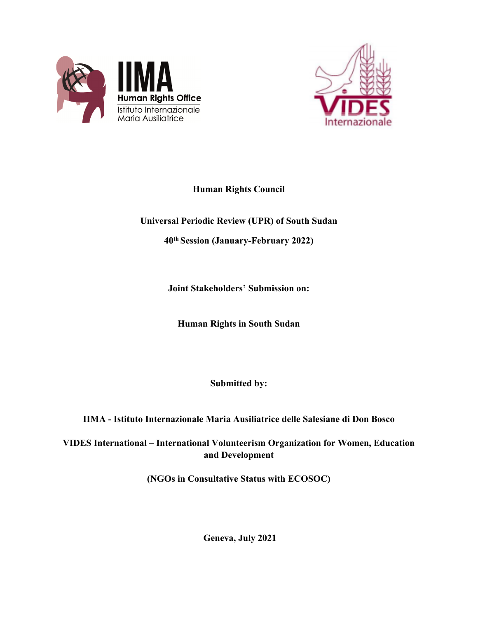



# **Human Rights Council**

# **Universal Periodic Review (UPR) of South Sudan**

**40th Session (January-February 2022)**

**Joint Stakeholders' Submission on:**

**Human Rights in South Sudan**

**Submitted by:**

**IIMA - Istituto Internazionale Maria Ausiliatrice delle Salesiane di Don Bosco**

**VIDES International – International Volunteerism Organization for Women, Education and Development**

**(NGOs in Consultative Status with ECOSOC)**

**Geneva, July 2021**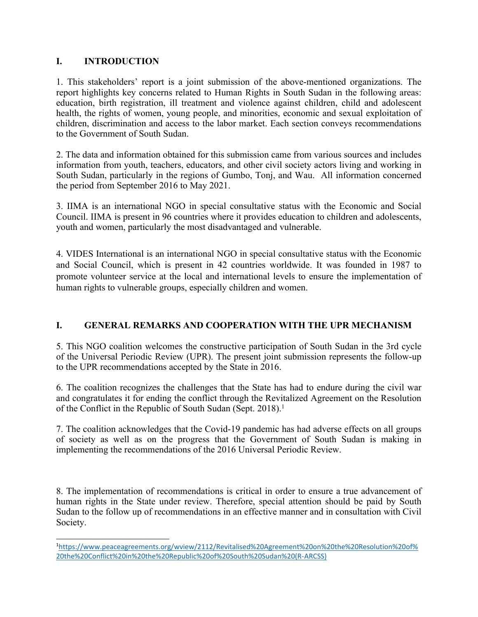## **I. INTRODUCTION**

1. This stakeholders' repor<sup>t</sup> is <sup>a</sup> joint submission of the above-mentioned organizations. The repor<sup>t</sup> highlights key concerns related to Human Rights in South Sudan in the following areas: education, birth registration, ill treatment and violence against children, child and adolescent health, the rights of women, young people, and minorities, economic and sexual exploitation of children, discrimination and access to the labor market. Each section conveys recommendations to the Government of South Sudan.

2. The data and information obtained for this submission came from various sources and includes information from youth, teachers, educators, and other civil society actors living and working in South Sudan, particularly in the regions of Gumbo, Tonj, and Wau. All information concerned the period from September 2016 to May 2021.

3. IIMA is an international NGO in special consultative status with the Economic and Social Council. IIMA is presen<sup>t</sup> in 96 countries where it provides education to children and adolescents, youth and women, particularly the most disadvantaged and vulnerable.

4. VIDES International is an international NGO in special consultative status with the Economic and Social Council, which is presen<sup>t</sup> in 42 countries worldwide. It was founded in 1987 to promote volunteer service at the local and international levels to ensure the implementation of human rights to vulnerable groups, especially children and women.

## **I. GENERAL REMARKS AND COOPERATION WITH THE UPR MECHANISM**

5. This NGO coalition welcomes the constructive participation of South Sudan in the 3rd cycle of the Universal Periodic Review (UPR). The presen<sup>t</sup> joint submission represents the follow-up to the UPR recommendations accepted by the State in 2016.

6. The coalition recognizes the challenges that the State has had to endure during the civil war and congratulates it for ending the conflict through the Revitalized Agreement on the Resolution of the Conflict in the Republic of South Sudan (Sept. 2018). 1

7. The coalition acknowledges that the Covid-19 pandemic has had adverse effects on all groups of society as well as on the progress that the Government of South Sudan is making in implementing the recommendations of the 2016 Universal Periodic Review.

8. The implementation of recommendations is critical in order to ensure <sup>a</sup> true advancement of human rights in the State under review. Therefore, special attention should be paid by South Sudan to the follow up of recommendations in an effective manner and in consultation with Civil Society.

<sup>1</sup> [https://www.peaceagreements.org/wview/2112/Revitalised%20Agreement%20on%20the%20Resolution%20of%](https://www.peaceagreements.org/wview/2112/Revitalised%20Agreement%20on%20the%20Resolution%20of%20the%20Conflict%20in%20the%20Republic%20of%20South%20Sudan%20(R-ARCSS)) [20the%20Conflict%20in%20the%20Republic%20of%20South%20Sudan%20\(R-ARCSS\)](https://www.peaceagreements.org/wview/2112/Revitalised%20Agreement%20on%20the%20Resolution%20of%20the%20Conflict%20in%20the%20Republic%20of%20South%20Sudan%20(R-ARCSS))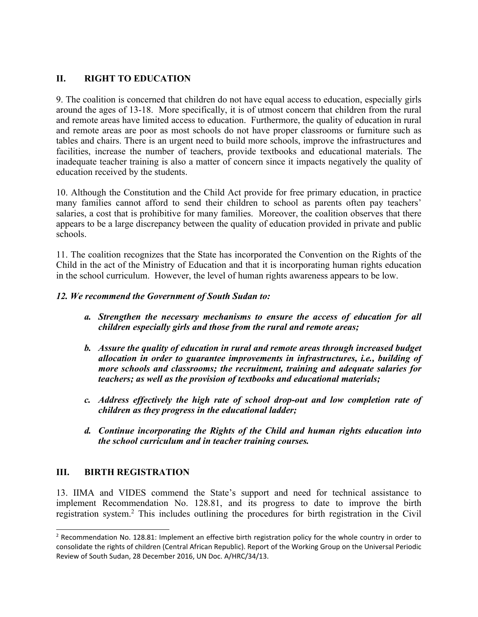# **II. RIGHT TO EDUCATION**

9. The coalition is concerned that children do not have equal access to education, especially girls around the ages of 13-18. More specifically, it is of utmost concern that children from the rural and remote areas have limited access to education. Furthermore, the quality of education in rural and remote areas are poor as most schools do not have proper classrooms or furniture such as tables and chairs. There is an urgen<sup>t</sup> need to build more schools, improve the infrastructures and facilities, increase the number of teachers, provide textbooks and educational materials. The inadequate teacher training is also <sup>a</sup> matter of concern since it impacts negatively the quality of education received by the students.

10. Although the Constitution and the Child Act provide for free primary education, in practice many families cannot afford to send their children to school as parents often pay teachers' salaries, <sup>a</sup> cost that is prohibitive for many families. Moreover, the coalition observes that there appears to be <sup>a</sup> large discrepancy between the quality of education provided in private and public schools.

11. The coalition recognizes that the State has incorporated the Convention on the Rights of the Child in the act of the Ministry of Education and that it is incorporating human rights education in the school curriculum. However, the level of human rights awareness appears to be low.

#### *12. We recommend the Government of South Sudan to:*

- *a. Strengthen the necessary mechanisms to ensure the access of education for all children especially girls and those from the rural and remote areas;*
- *b. Assure the quality of education in rural and remote areas through increased budget allocation in order to guarantee improvements in infrastructures, i.e., building of more schools and classrooms; the recruitment, training and adequate salaries for teachers; as well as the provision of textbooks and educational materials;*
- *c. Address effectively the high rate of school drop-out and low completion rate of children as they progress in the educational ladder;*
- *d. Continue incorporating the Rights of the Child and human rights education into the school curriculum and in teacher training courses.*

## **III. BIRTH REGISTRATION**

13. IIMA and VIDES commend the State'<sup>s</sup> suppor<sup>t</sup> and need for technical assistance to implement Recommendation No. 128.81, and its progress to date to improve the birth registration system. 2 This includes outlining the procedures for birth registration in the Civil

<sup>&</sup>lt;sup>2</sup> Recommendation No. 128.81: Implement an effective birth registration policy for the whole country in order to consolidate the rights of children (Central African Republic). Report of the Working Group on the Universal Periodic Review of South Sudan, 28 December 2016, UN Doc. A/HRC/34/13.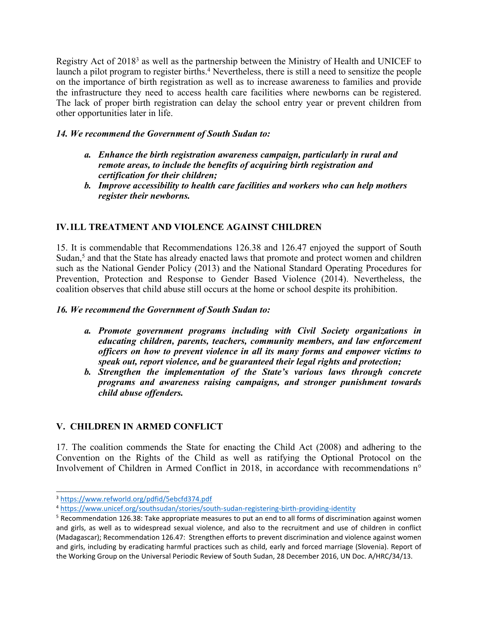Registry Act of 2018<sup>3</sup> as well as the partnership between the Ministry of Health and UNICEF to launch <sup>a</sup> pilot program to register births. <sup>4</sup> Nevertheless, there is still <sup>a</sup> need to sensitize the people on the importance of birth registration as well as to increase awareness to families and provide the infrastructure they need to access health care facilities where newborns can be registered. The lack of proper birth registration can delay the school entry year or preven<sup>t</sup> children from other opportunities later in life.

#### *14. We recommend the Government of South Sudan to:*

- *a. Enhance the birth registration awareness campaign, particularly in rural and remote areas, to include the benefits of acquiring birth registration and certification for their children;*
- *b. Improve accessibility to health care facilities and workers who can help mothers register their newborns.*

# **IV.ILL TREATMENT AND VIOLENCE AGAINST CHILDREN**

15. It is commendable that Recommendations 126.38 and 126.47 enjoyed the suppor<sup>t</sup> of South Sudan, 5 and that the State has already enacted laws that promote and protect women and children such as the National Gender Policy (2013) and the National Standard Operating Procedures for Prevention, Protection and Response to Gender Based Violence (2014). Nevertheless, the coalition observes that child abuse still occurs at the home or school despite its prohibition.

#### *16. We recommend the Government of South Sudan to:*

- *a. Promote governmen<sup>t</sup> programs including with Civil Society organizations in educating children, parents, teachers, community members, and law enforcement officers on how to preven<sup>t</sup> violence in all its many forms and empower victims to speak out, repor<sup>t</sup> violence, and be guaranteed their legal rights and protection;*
- *b. Strengthen the implementation of the State'<sup>s</sup> various laws through concrete programs and awareness raising campaigns, and stronger punishment towards child abuse offenders.*

# **V. CHILDREN IN ARMED CONFLICT**

17. The coalition commends the State for enacting the Child Act (2008) and adhering to the Convention on the Rights of the Child as well as ratifying the Optional Protocol on the Involvement of Children in Armed Conflict in 2018, in accordance with recommendations <sup>n</sup>°

<sup>3</sup> <https://www.refworld.org/pdfid/5ebcfd374.pdf>

<sup>4</sup> <https://www.unicef.org/southsudan/stories/south-sudan-registering-birth-providing-identity>

<sup>5</sup> Recommendation 126.38: Take appropriate measures to put an end to all forms of discrimination against women and girls, as well as to widespread sexual violence, and also to the recruitment and use of children in conflict (Madagascar); Recommendation 126.47: Strengthen efforts to prevent discrimination and violence against women and girls, including by eradicating harmful practices such as child, early and forced marriage (Slovenia). Report of the Working Group on the Universal Periodic Review of South Sudan, 28 December 2016, UN Doc. A/HRC/34/13.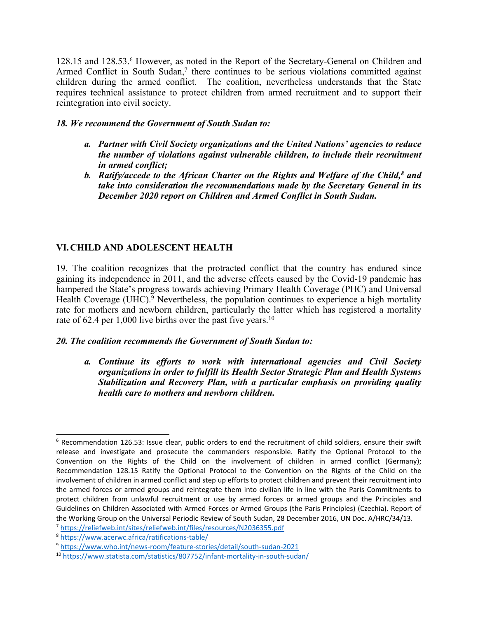128.15 and 128.53. <sup>6</sup> However, as noted in the Report of the Secretary-General on Children and Armed Conflict in South Sudan, 7 there continues to be serious violations committed against children during the armed conflict. The coalition, nevertheless understands that the State requires technical assistance to protect children from armed recruitment and to suppor<sup>t</sup> their reintegration into civil society.

#### *18. We recommend the Government of South Sudan to:*

- *a. Partner with Civil Society organizations and the United Nations' agencies to reduce the number of violations against vulnerable children, to include their recruitment in armed conflict;*
- *b. Ratify/accede to the African Charter on the Rights and Welfare of the Child, 8 and take into consideration the recommendations made by the Secretary General in its December 2020 repor<sup>t</sup> on Children and Armed Conflict in South Sudan.*

# **VI.CHILD AND ADOLESCENT HEALTH**

19. The coalition recognizes that the protracted conflict that the country has endured since gaining its independence in 2011, and the adverse effects caused by the Covid-19 pandemic has hampered the State'<sup>s</sup> progress towards achieving Primary Health Coverage (PHC) and Universal Health Coverage (UHC).<sup>9</sup> Nevertheless, the population continues to experience a high mortality rate for mothers and newborn children, particularly the latter which has registered <sup>a</sup> mortality rate of 62.4 per 1,000 live births over the past five years.<sup>10</sup>

#### *20. The coalition recommends the Government of South Sudan to:*

*a. Continue its efforts to work with international agencies and Civil Society organizations in order to fulfill its Health Sector Strategic Plan and Health Systems Stabilization and Recovery Plan, with <sup>a</sup> particular emphasis on providing quality health care to mothers and newborn children.*

<sup>6</sup> Recommendation 126.53: Issue clear, public orders to end the recruitment of child soldiers, ensure their swift release and investigate and prosecute the commanders responsible. Ratify the Optional Protocol to the Convention on the Rights of the Child on the involvement of children in armed conflict (Germany); Recommendation 128.15 Ratify the Optional Protocol to the Convention on the Rights of the Child on the involvement of children in armed conflict and step up efforts to protect children and prevent their recruitment into the armed forces or armed groups and reintegrate them into civilian life in line with the Paris Commitments to protect children from unlawful recruitment or use by armed forces or armed groups and the Principles and Guidelines on Children Associated with Armed Forces or Armed Groups (the Paris Principles) (Czechia). Report of the Working Group on the Universal Periodic Review of South Sudan, 28 December 2016, UN Doc. A/HRC/34/13.

<sup>7</sup> <https://reliefweb.int/sites/reliefweb.int/files/resources/N2036355.pdf>

<sup>8</sup> <https://www.acerwc.africa/ratifications-table/>

<sup>9</sup> <https://www.who.int/news-room/feature-stories/detail/south-sudan-2021>

<sup>10</sup> <https://www.statista.com/statistics/807752/infant-mortality-in-south-sudan/>